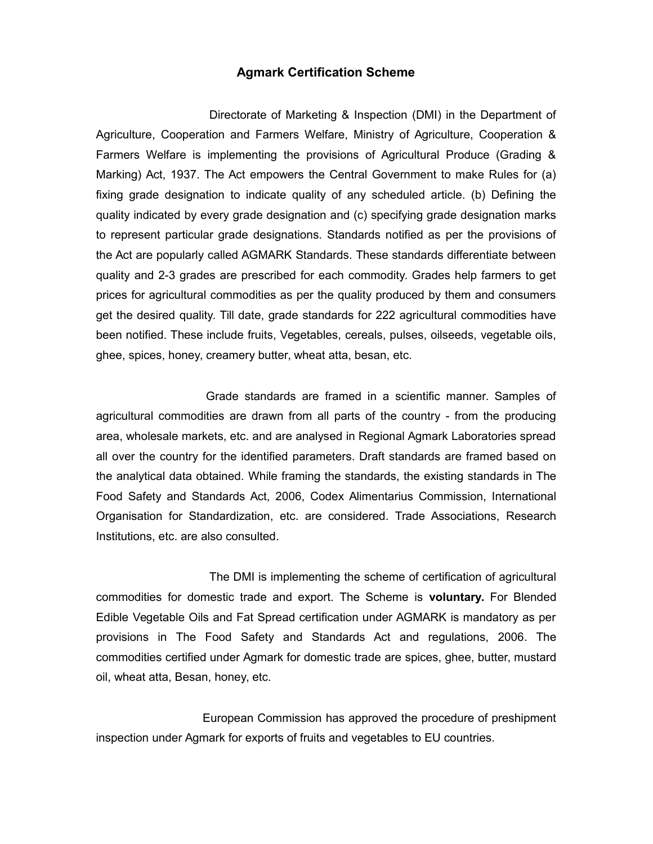## **Agmark Certification Scheme**

Directorate of Marketing & Inspection (DMI) in the Department of Agriculture, Cooperation and Farmers Welfare, Ministry of Agriculture, Cooperation & Farmers Welfare is implementing the provisions of Agricultural Produce (Grading & Marking) Act, 1937. The Act empowers the Central Government to make Rules for (a) fixing grade designation to indicate quality of any scheduled article. (b) Defining the quality indicated by every grade designation and (c) specifying grade designation marks to represent particular grade designations. Standards notified as per the provisions of the Act are popularly called AGMARK Standards. These standards differentiate between quality and 2-3 grades are prescribed for each commodity. Grades help farmers to get prices for agricultural commodities as per the quality produced by them and consumers get the desired quality. Till date, grade standards for 222 agricultural commodities have been notified. These include fruits, Vegetables, cereals, pulses, oilseeds, vegetable oils, ghee, spices, honey, creamery butter, wheat atta, besan, etc.

Grade standards are framed in a scientific manner. Samples of agricultural commodities are drawn from all parts of the country - from the producing area, wholesale markets, etc. and are analysed in Regional Agmark Laboratories spread all over the country for the identified parameters. Draft standards are framed based on the analytical data obtained. While framing the standards, the existing standards in The Food Safety and Standards Act, 2006, Codex Alimentarius Commission, International Organisation for Standardization, etc. are considered. Trade Associations, Research Institutions, etc. are also consulted.

The DMI is implementing the scheme of certification of agricultural commodities for domestic trade and export. The Scheme is **voluntary.** For Blended Edible Vegetable Oils and Fat Spread certification under AGMARK is mandatory as per provisions in The Food Safety and Standards Act and regulations, 2006. The commodities certified under Agmark for domestic trade are spices, ghee, butter, mustard oil, wheat atta, Besan, honey, etc.

European Commission has approved the procedure of preshipment inspection under Agmark for exports of fruits and vegetables to EU countries.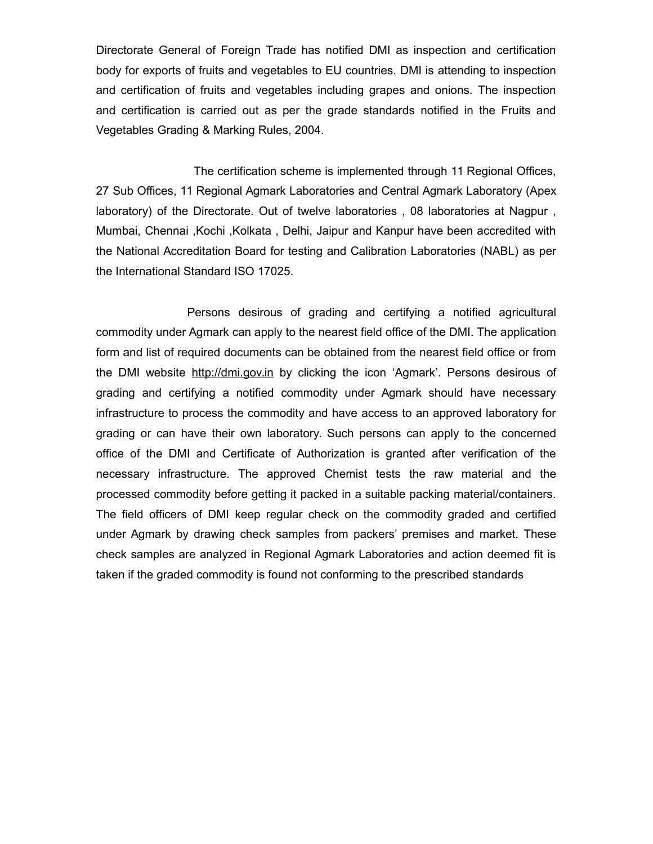Directorate General of Foreign Trade has notified DMI as inspection and certification body for exports of fruits and vegetables to EU countries. DMI is attending to inspection and certification of fruits and vegetables including grapes and onions. The inspection and certification is carried out as per the grade standards notified in the Fruits and Vegetables Grading & Marking Rules, 2004.

The certification scheme is implemented through 11 Regional Offices, 27 Sub Offices, 11 Regional Agmark Laboratories and Central Agmark Laboratory (Apex laboratory) of the Directorate. Out of twelve laboratories , 08 laboratories at Nagpur , Mumbai, Chennai ,Kochi ,Kolkata , Delhi, Jaipur and Kanpur have been accredited with the National Accreditation Board for testing and Calibration Laboratories (NABL) as per the International Standard ISO 17025.

Persons desirous of grading and certifying a notified agricultural commodity under Agmark can apply to the nearest field office of the DMI. The application form and list of required documents can be obtained from the nearest field office or from the DMI website http://dmi.gov.in by clicking the icon 'Agmark'. Persons desirous of grading and certifying a notified commodity under Agmark should have necessary infrastructure to process the commodity and have access to an approved laboratory for grading or can have their own laboratory. Such persons can apply to the concerned office of the DMI and Certificate of Authorization is granted after verification of the necessary infrastructure. The approved Chemist tests the raw material and the processed commodity before getting it packed in a suitable packing material/containers. The field officers of DMI keep regular check on the commodity graded and certified under Agmark by drawing check samples from packers' premises and market. These check samples are analyzed in Regional Agmark Laboratories and action deemed fit is taken if the graded commodity is found not conforming to the prescribed standards